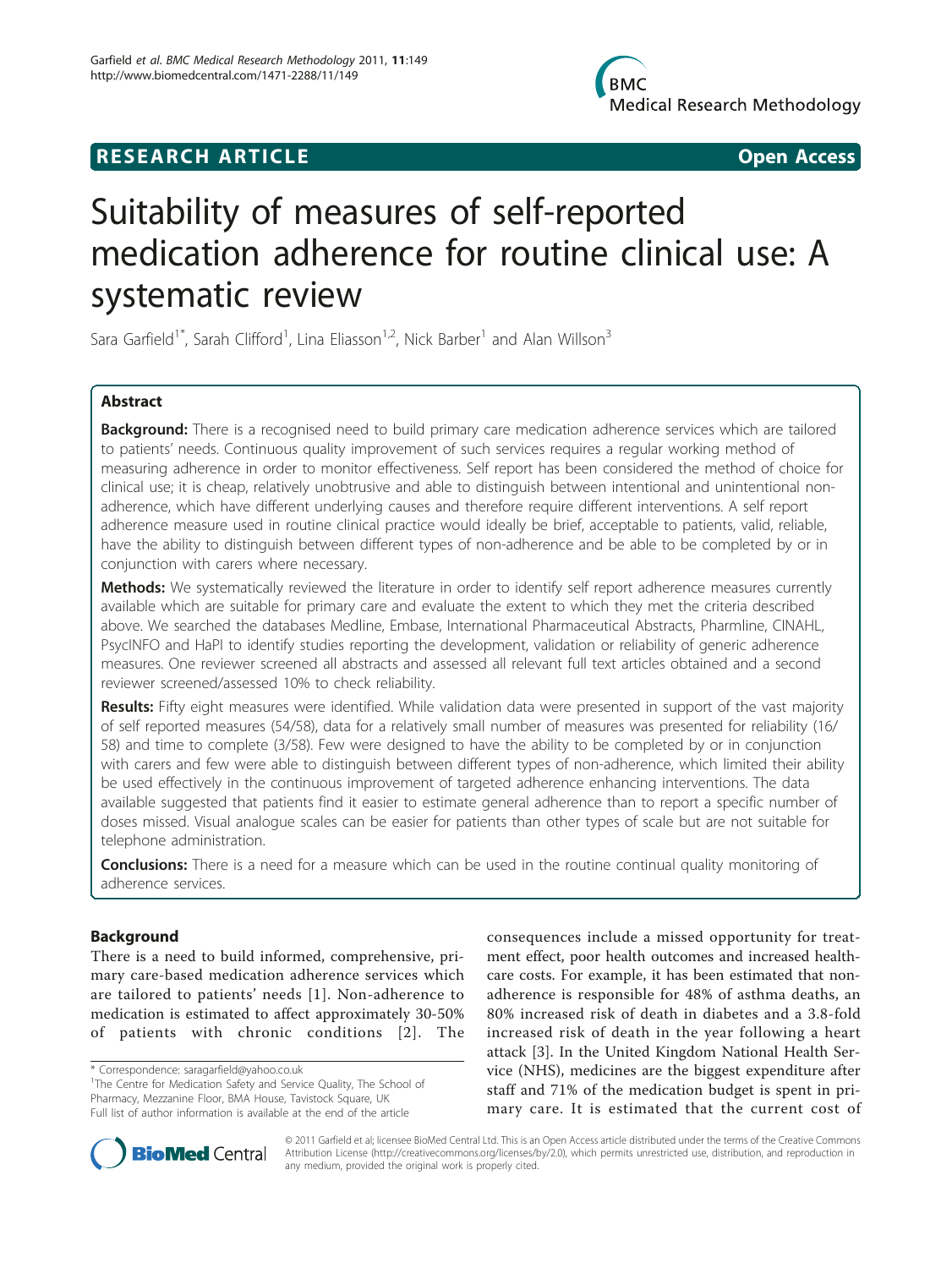## **RESEARCH ARTICLE Example 2014 CONSUMING ACCESS**

# Suitability of measures of self-reported medication adherence for routine clinical use: A systematic review

Sara Garfield<sup>1\*</sup>, Sarah Clifford<sup>1</sup>, Lina Eliasson<sup>1,2</sup>, Nick Barber<sup>1</sup> and Alan Willson<sup>3</sup>

## Abstract

**Background:** There is a recognised need to build primary care medication adherence services which are tailored to patients' needs. Continuous quality improvement of such services requires a regular working method of measuring adherence in order to monitor effectiveness. Self report has been considered the method of choice for clinical use; it is cheap, relatively unobtrusive and able to distinguish between intentional and unintentional nonadherence, which have different underlying causes and therefore require different interventions. A self report adherence measure used in routine clinical practice would ideally be brief, acceptable to patients, valid, reliable, have the ability to distinguish between different types of non-adherence and be able to be completed by or in conjunction with carers where necessary.

Methods: We systematically reviewed the literature in order to identify self report adherence measures currently available which are suitable for primary care and evaluate the extent to which they met the criteria described above. We searched the databases Medline, Embase, International Pharmaceutical Abstracts, Pharmline, CINAHL, PsycINFO and HaPI to identify studies reporting the development, validation or reliability of generic adherence measures. One reviewer screened all abstracts and assessed all relevant full text articles obtained and a second reviewer screened/assessed 10% to check reliability.

Results: Fifty eight measures were identified. While validation data were presented in support of the vast majority of self reported measures (54/58), data for a relatively small number of measures was presented for reliability (16/ 58) and time to complete (3/58). Few were designed to have the ability to be completed by or in conjunction with carers and few were able to distinguish between different types of non-adherence, which limited their ability be used effectively in the continuous improvement of targeted adherence enhancing interventions. The data available suggested that patients find it easier to estimate general adherence than to report a specific number of doses missed. Visual analogue scales can be easier for patients than other types of scale but are not suitable for telephone administration.

**Conclusions:** There is a need for a measure which can be used in the routine continual quality monitoring of adherence services.

## Background

There is a need to build informed, comprehensive, primary care-based medication adherence services which are tailored to patients' needs [[1](#page-6-0)]. Non-adherence to medication is estimated to affect approximately 30-50% of patients with chronic conditions [[2\]](#page-6-0). The

<sup>1</sup>The Centre for Medication Safety and Service Quality, The School of Pharmacy, Mezzanine Floor, BMA House, Tavistock Square, UK Full list of author information is available at the end of the article

consequences include a missed opportunity for treatment effect, poor health outcomes and increased healthcare costs. For example, it has been estimated that nonadherence is responsible for 48% of asthma deaths, an 80% increased risk of death in diabetes and a 3.8-fold increased risk of death in the year following a heart attack [\[3](#page-6-0)]. In the United Kingdom National Health Service (NHS), medicines are the biggest expenditure after staff and 71% of the medication budget is spent in primary care. It is estimated that the current cost of



© 2011 Garfield et al; licensee BioMed Central Ltd. This is an Open Access article distributed under the terms of the Creative Commons Attribution License [\(http://creativecommons.org/licenses/by/2.0](http://creativecommons.org/licenses/by/2.0)), which permits unrestricted use, distribution, and reproduction in any medium, provided the original work is properly cited.

<sup>\*</sup> Correspondence: [saragarfield@yahoo.co.uk](mailto:saragarfield@yahoo.co.uk)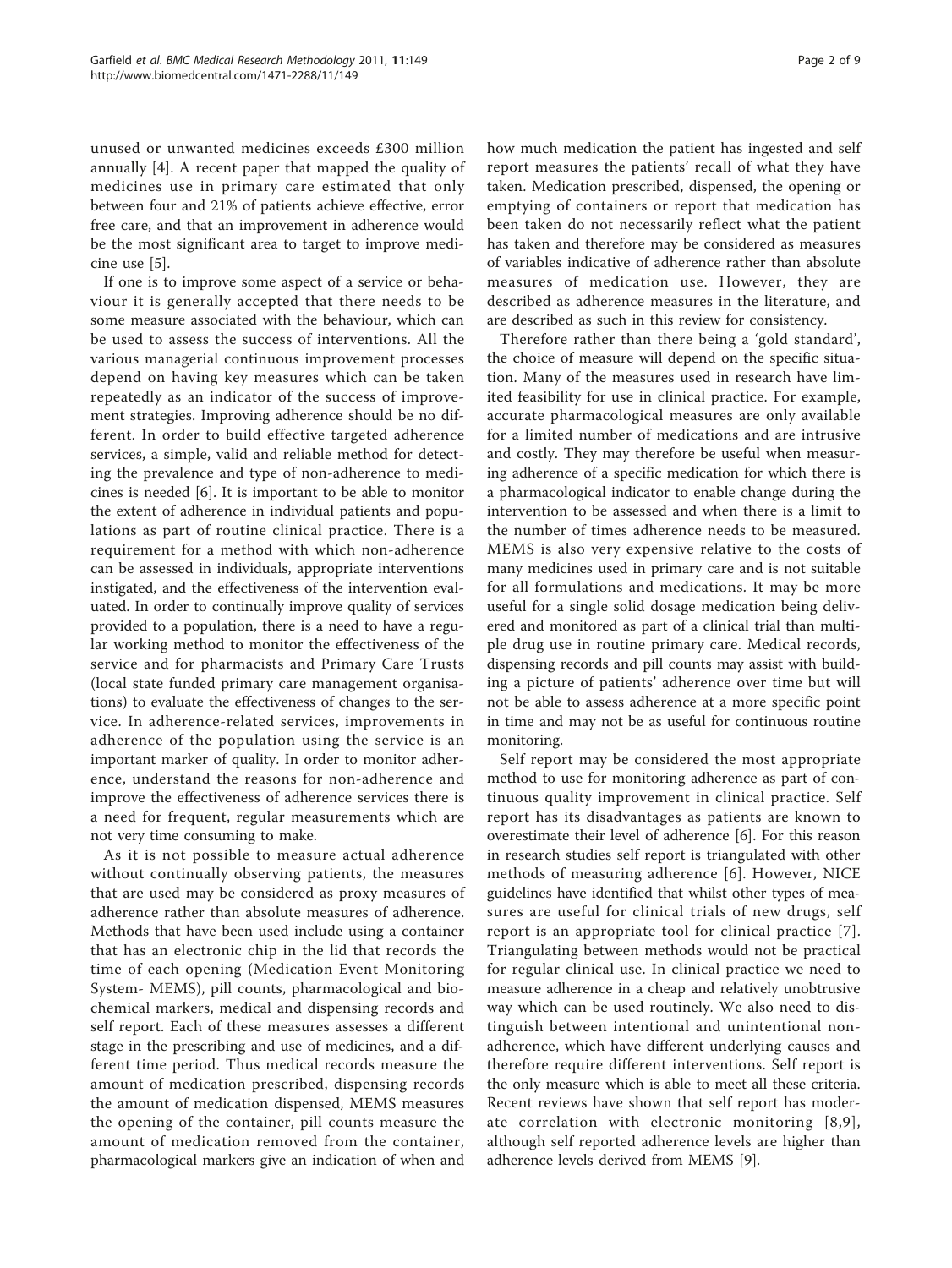unused or unwanted medicines exceeds £300 million annually [\[4](#page-6-0)]. A recent paper that mapped the quality of medicines use in primary care estimated that only between four and 21% of patients achieve effective, error free care, and that an improvement in adherence would be the most significant area to target to improve medicine use [\[5](#page-6-0)].

If one is to improve some aspect of a service or behaviour it is generally accepted that there needs to be some measure associated with the behaviour, which can be used to assess the success of interventions. All the various managerial continuous improvement processes depend on having key measures which can be taken repeatedly as an indicator of the success of improvement strategies. Improving adherence should be no different. In order to build effective targeted adherence services, a simple, valid and reliable method for detecting the prevalence and type of non-adherence to medicines is needed [\[6](#page-6-0)]. It is important to be able to monitor the extent of adherence in individual patients and populations as part of routine clinical practice. There is a requirement for a method with which non-adherence can be assessed in individuals, appropriate interventions instigated, and the effectiveness of the intervention evaluated. In order to continually improve quality of services provided to a population, there is a need to have a regular working method to monitor the effectiveness of the service and for pharmacists and Primary Care Trusts (local state funded primary care management organisations) to evaluate the effectiveness of changes to the service. In adherence-related services, improvements in adherence of the population using the service is an important marker of quality. In order to monitor adherence, understand the reasons for non-adherence and improve the effectiveness of adherence services there is a need for frequent, regular measurements which are not very time consuming to make.

As it is not possible to measure actual adherence without continually observing patients, the measures that are used may be considered as proxy measures of adherence rather than absolute measures of adherence. Methods that have been used include using a container that has an electronic chip in the lid that records the time of each opening (Medication Event Monitoring System- MEMS), pill counts, pharmacological and biochemical markers, medical and dispensing records and self report. Each of these measures assesses a different stage in the prescribing and use of medicines, and a different time period. Thus medical records measure the amount of medication prescribed, dispensing records the amount of medication dispensed, MEMS measures the opening of the container, pill counts measure the amount of medication removed from the container, pharmacological markers give an indication of when and

how much medication the patient has ingested and self report measures the patients' recall of what they have taken. Medication prescribed, dispensed, the opening or emptying of containers or report that medication has been taken do not necessarily reflect what the patient has taken and therefore may be considered as measures of variables indicative of adherence rather than absolute measures of medication use. However, they are described as adherence measures in the literature, and are described as such in this review for consistency.

Therefore rather than there being a 'gold standard', the choice of measure will depend on the specific situation. Many of the measures used in research have limited feasibility for use in clinical practice. For example, accurate pharmacological measures are only available for a limited number of medications and are intrusive and costly. They may therefore be useful when measuring adherence of a specific medication for which there is a pharmacological indicator to enable change during the intervention to be assessed and when there is a limit to the number of times adherence needs to be measured. MEMS is also very expensive relative to the costs of many medicines used in primary care and is not suitable for all formulations and medications. It may be more useful for a single solid dosage medication being delivered and monitored as part of a clinical trial than multiple drug use in routine primary care. Medical records, dispensing records and pill counts may assist with building a picture of patients' adherence over time but will not be able to assess adherence at a more specific point in time and may not be as useful for continuous routine monitoring.

Self report may be considered the most appropriate method to use for monitoring adherence as part of continuous quality improvement in clinical practice. Self report has its disadvantages as patients are known to overestimate their level of adherence [\[6\]](#page-6-0). For this reason in research studies self report is triangulated with other methods of measuring adherence [[6](#page-6-0)]. However, NICE guidelines have identified that whilst other types of measures are useful for clinical trials of new drugs, self report is an appropriate tool for clinical practice [[7\]](#page-6-0). Triangulating between methods would not be practical for regular clinical use. In clinical practice we need to measure adherence in a cheap and relatively unobtrusive way which can be used routinely. We also need to distinguish between intentional and unintentional nonadherence, which have different underlying causes and therefore require different interventions. Self report is the only measure which is able to meet all these criteria. Recent reviews have shown that self report has moderate correlation with electronic monitoring [[8,9\]](#page-6-0), although self reported adherence levels are higher than adherence levels derived from MEMS [[9\]](#page-6-0).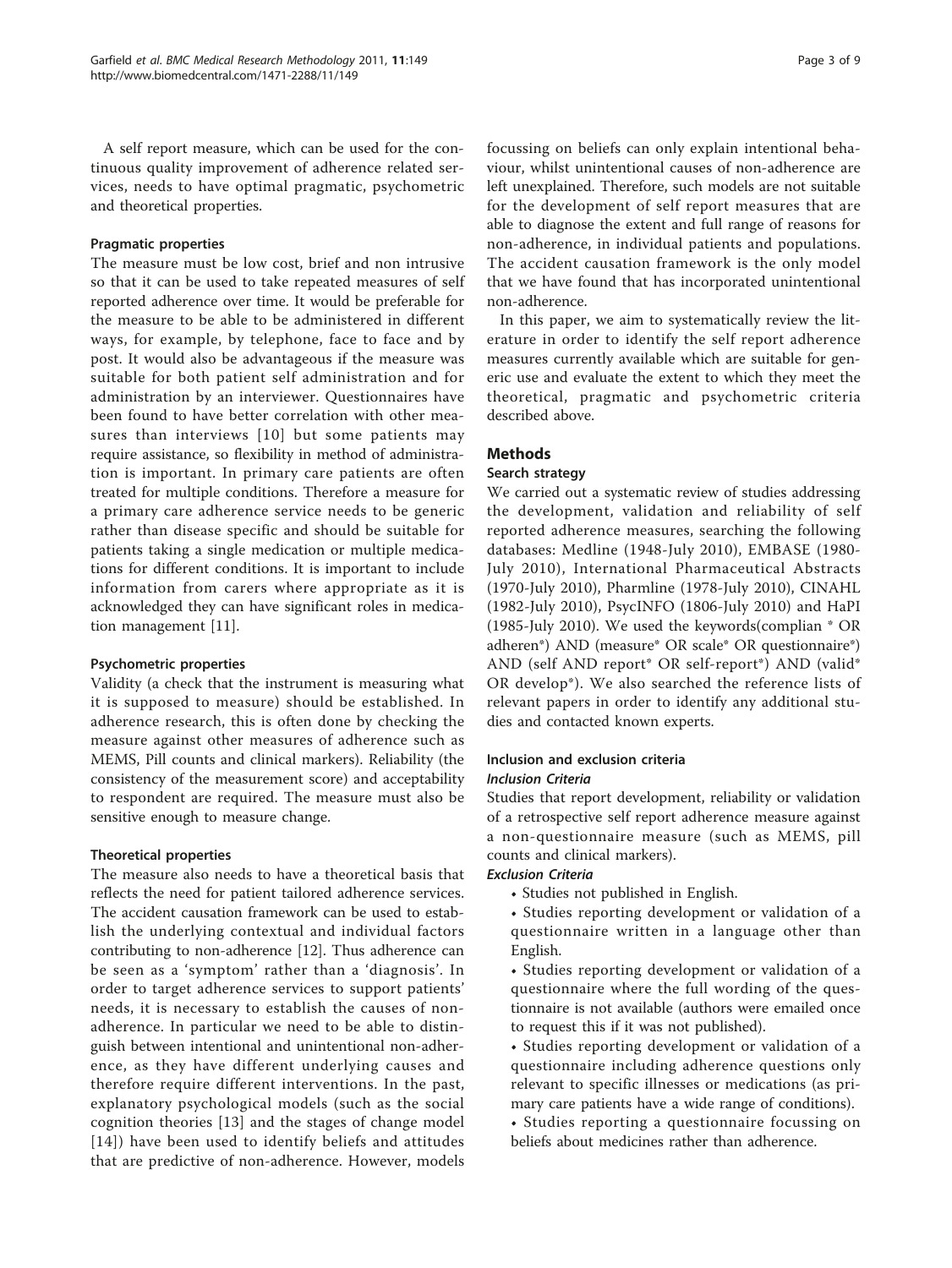A self report measure, which can be used for the continuous quality improvement of adherence related services, needs to have optimal pragmatic, psychometric and theoretical properties.

#### Pragmatic properties

The measure must be low cost, brief and non intrusive so that it can be used to take repeated measures of self reported adherence over time. It would be preferable for the measure to be able to be administered in different ways, for example, by telephone, face to face and by post. It would also be advantageous if the measure was suitable for both patient self administration and for administration by an interviewer. Questionnaires have been found to have better correlation with other measures than interviews [[10](#page-6-0)] but some patients may require assistance, so flexibility in method of administration is important. In primary care patients are often treated for multiple conditions. Therefore a measure for a primary care adherence service needs to be generic rather than disease specific and should be suitable for patients taking a single medication or multiple medications for different conditions. It is important to include information from carers where appropriate as it is acknowledged they can have significant roles in medication management [[11\]](#page-6-0).

## Psychometric properties

Validity (a check that the instrument is measuring what it is supposed to measure) should be established. In adherence research, this is often done by checking the measure against other measures of adherence such as MEMS, Pill counts and clinical markers). Reliability (the consistency of the measurement score) and acceptability to respondent are required. The measure must also be sensitive enough to measure change.

## Theoretical properties

The measure also needs to have a theoretical basis that reflects the need for patient tailored adherence services. The accident causation framework can be used to establish the underlying contextual and individual factors contributing to non-adherence [\[12\]](#page-6-0). Thus adherence can be seen as a 'symptom' rather than a 'diagnosis'. In order to target adherence services to support patients' needs, it is necessary to establish the causes of nonadherence. In particular we need to be able to distinguish between intentional and unintentional non-adherence, as they have different underlying causes and therefore require different interventions. In the past, explanatory psychological models (such as the social cognition theories [[13\]](#page-6-0) and the stages of change model [[14\]](#page-6-0)) have been used to identify beliefs and attitudes that are predictive of non-adherence. However, models focussing on beliefs can only explain intentional behaviour, whilst unintentional causes of non-adherence are left unexplained. Therefore, such models are not suitable for the development of self report measures that are able to diagnose the extent and full range of reasons for non-adherence, in individual patients and populations. The accident causation framework is the only model that we have found that has incorporated unintentional non-adherence.

In this paper, we aim to systematically review the literature in order to identify the self report adherence measures currently available which are suitable for generic use and evaluate the extent to which they meet the theoretical, pragmatic and psychometric criteria described above.

## Methods

#### Search strategy

We carried out a systematic review of studies addressing the development, validation and reliability of self reported adherence measures, searching the following databases: Medline (1948-July 2010), EMBASE (1980- July 2010), International Pharmaceutical Abstracts (1970-July 2010), Pharmline (1978-July 2010), CINAHL (1982-July 2010), PsycINFO (1806-July 2010) and HaPI (1985-July 2010). We used the keywords(complian \* OR adheren\*) AND (measure\* OR scale\* OR questionnaire\*) AND (self AND report\* OR self-report\*) AND (valid\* OR develop\*). We also searched the reference lists of relevant papers in order to identify any additional studies and contacted known experts.

## Inclusion and exclusion criteria Inclusion Criteria

Studies that report development, reliability or validation of a retrospective self report adherence measure against a non-questionnaire measure (such as MEMS, pill counts and clinical markers).

## Exclusion Criteria

- Studies not published in English.
- Studies reporting development or validation of a questionnaire written in a language other than English.
- Studies reporting development or validation of a questionnaire where the full wording of the questionnaire is not available (authors were emailed once to request this if it was not published).
- Studies reporting development or validation of a questionnaire including adherence questions only relevant to specific illnesses or medications (as primary care patients have a wide range of conditions).
- Studies reporting a questionnaire focussing on beliefs about medicines rather than adherence.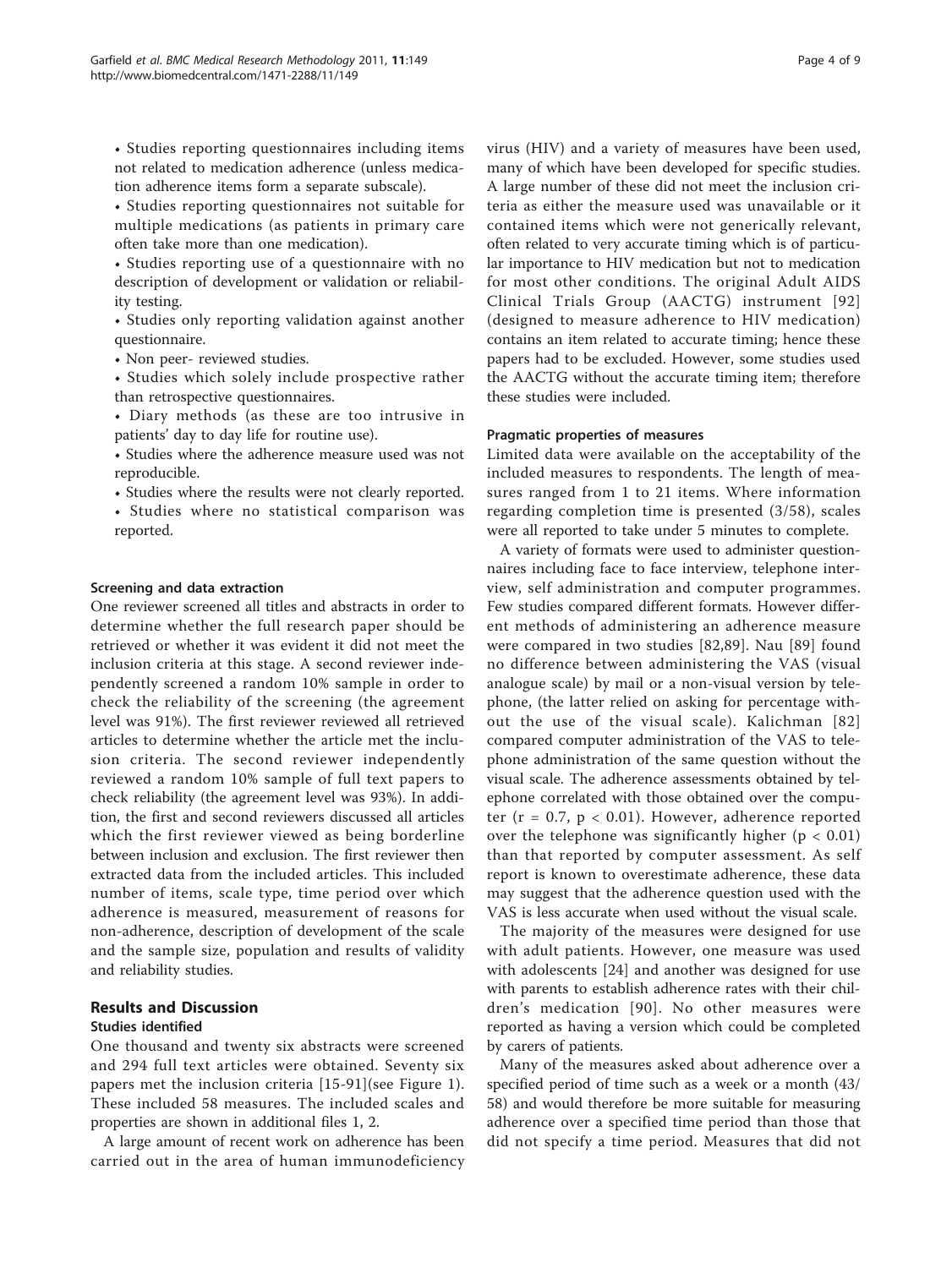• Studies reporting questionnaires including items not related to medication adherence (unless medication adherence items form a separate subscale).

• Studies reporting questionnaires not suitable for multiple medications (as patients in primary care often take more than one medication).

• Studies reporting use of a questionnaire with no description of development or validation or reliability testing.

• Studies only reporting validation against another questionnaire.

• Non peer- reviewed studies.

• Studies which solely include prospective rather than retrospective questionnaires.

• Diary methods (as these are too intrusive in patients' day to day life for routine use).

• Studies where the adherence measure used was not reproducible.

• Studies where the results were not clearly reported.

• Studies where no statistical comparison was reported.

#### Screening and data extraction

One reviewer screened all titles and abstracts in order to determine whether the full research paper should be retrieved or whether it was evident it did not meet the inclusion criteria at this stage. A second reviewer independently screened a random 10% sample in order to check the reliability of the screening (the agreement level was 91%). The first reviewer reviewed all retrieved articles to determine whether the article met the inclusion criteria. The second reviewer independently reviewed a random 10% sample of full text papers to check reliability (the agreement level was 93%). In addition, the first and second reviewers discussed all articles which the first reviewer viewed as being borderline between inclusion and exclusion. The first reviewer then extracted data from the included articles. This included number of items, scale type, time period over which adherence is measured, measurement of reasons for non-adherence, description of development of the scale and the sample size, population and results of validity and reliability studies.

## Results and Discussion

#### Studies identified

One thousand and twenty six abstracts were screened and 294 full text articles were obtained. Seventy six papers met the inclusion criteria [[15-](#page-6-0)[91\]](#page-8-0)(see Figure [1](#page-4-0)). These included 58 measures. The included scales and properties are shown in additional files [1](#page-6-0), [2](#page-6-0).

A large amount of recent work on adherence has been carried out in the area of human immunodeficiency virus (HIV) and a variety of measures have been used, many of which have been developed for specific studies. A large number of these did not meet the inclusion criteria as either the measure used was unavailable or it contained items which were not generically relevant, often related to very accurate timing which is of particular importance to HIV medication but not to medication for most other conditions. The original Adult AIDS Clinical Trials Group (AACTG) instrument [[92](#page-8-0)] (designed to measure adherence to HIV medication) contains an item related to accurate timing; hence these papers had to be excluded. However, some studies used the AACTG without the accurate timing item; therefore these studies were included.

#### Pragmatic properties of measures

Limited data were available on the acceptability of the included measures to respondents. The length of measures ranged from 1 to 21 items. Where information regarding completion time is presented (3/58), scales were all reported to take under 5 minutes to complete.

A variety of formats were used to administer questionnaires including face to face interview, telephone interview, self administration and computer programmes. Few studies compared different formats. However different methods of administering an adherence measure were compared in two studies [[82,89](#page-8-0)]. Nau [[89](#page-8-0)] found no difference between administering the VAS (visual analogue scale) by mail or a non-visual version by telephone, (the latter relied on asking for percentage without the use of the visual scale). Kalichman [[82](#page-8-0)] compared computer administration of the VAS to telephone administration of the same question without the visual scale. The adherence assessments obtained by telephone correlated with those obtained over the computer ( $r = 0.7$ ,  $p < 0.01$ ). However, adherence reported over the telephone was significantly higher ( $p < 0.01$ ) than that reported by computer assessment. As self report is known to overestimate adherence, these data may suggest that the adherence question used with the VAS is less accurate when used without the visual scale.

The majority of the measures were designed for use with adult patients. However, one measure was used with adolescents [[24\]](#page-7-0) and another was designed for use with parents to establish adherence rates with their children's medication [[90](#page-8-0)]. No other measures were reported as having a version which could be completed by carers of patients.

Many of the measures asked about adherence over a specified period of time such as a week or a month (43/ 58) and would therefore be more suitable for measuring adherence over a specified time period than those that did not specify a time period. Measures that did not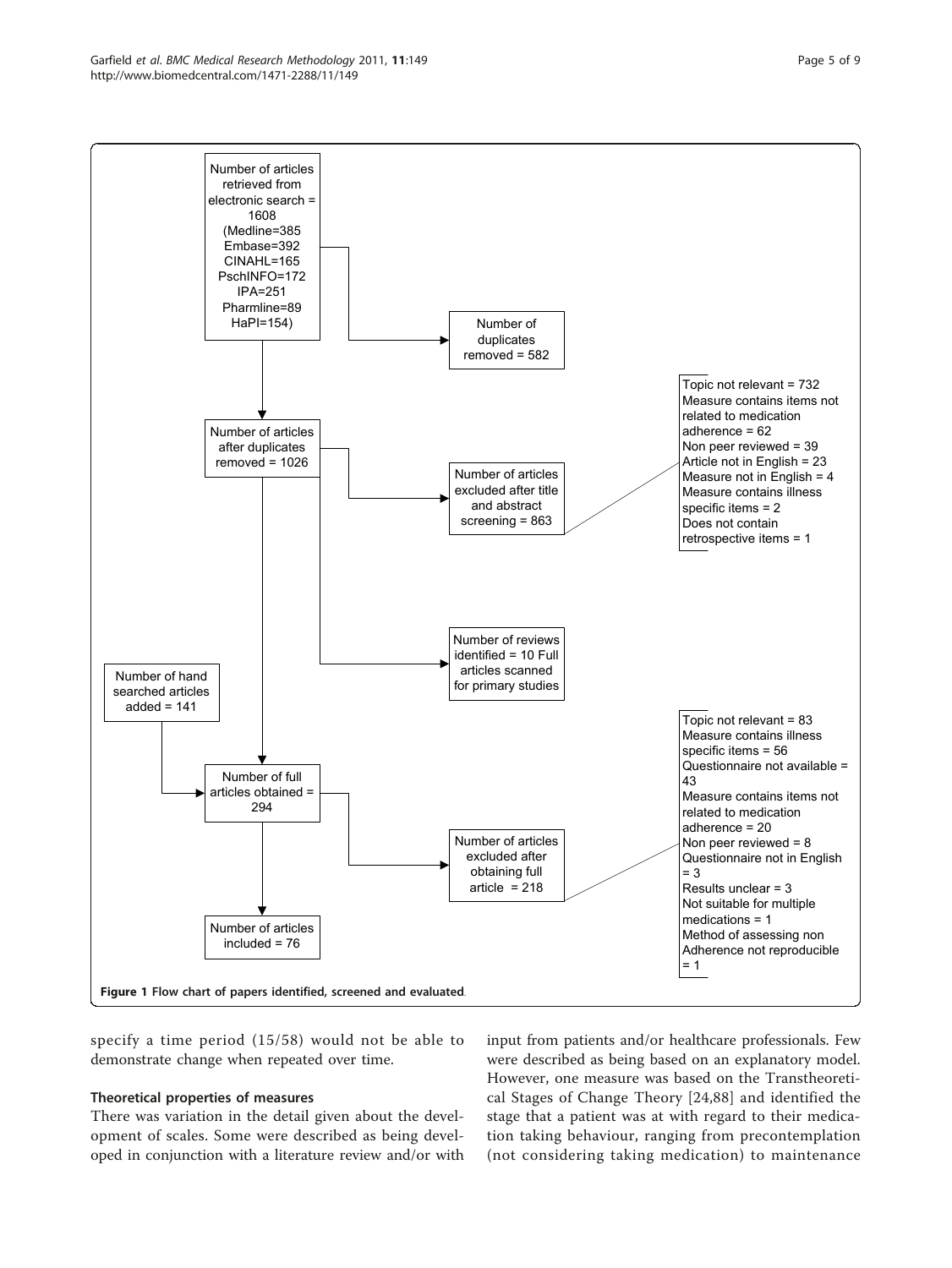<span id="page-4-0"></span>

specify a time period (15/58) would not be able to demonstrate change when repeated over time.

## Theoretical properties of measures

There was variation in the detail given about the development of scales. Some were described as being developed in conjunction with a literature review and/or with

input from patients and/or healthcare professionals. Few were described as being based on an explanatory model. However, one measure was based on the Transtheoretical Stages of Change Theory [[24](#page-7-0)[,88](#page-8-0)] and identified the stage that a patient was at with regard to their medication taking behaviour, ranging from precontemplation (not considering taking medication) to maintenance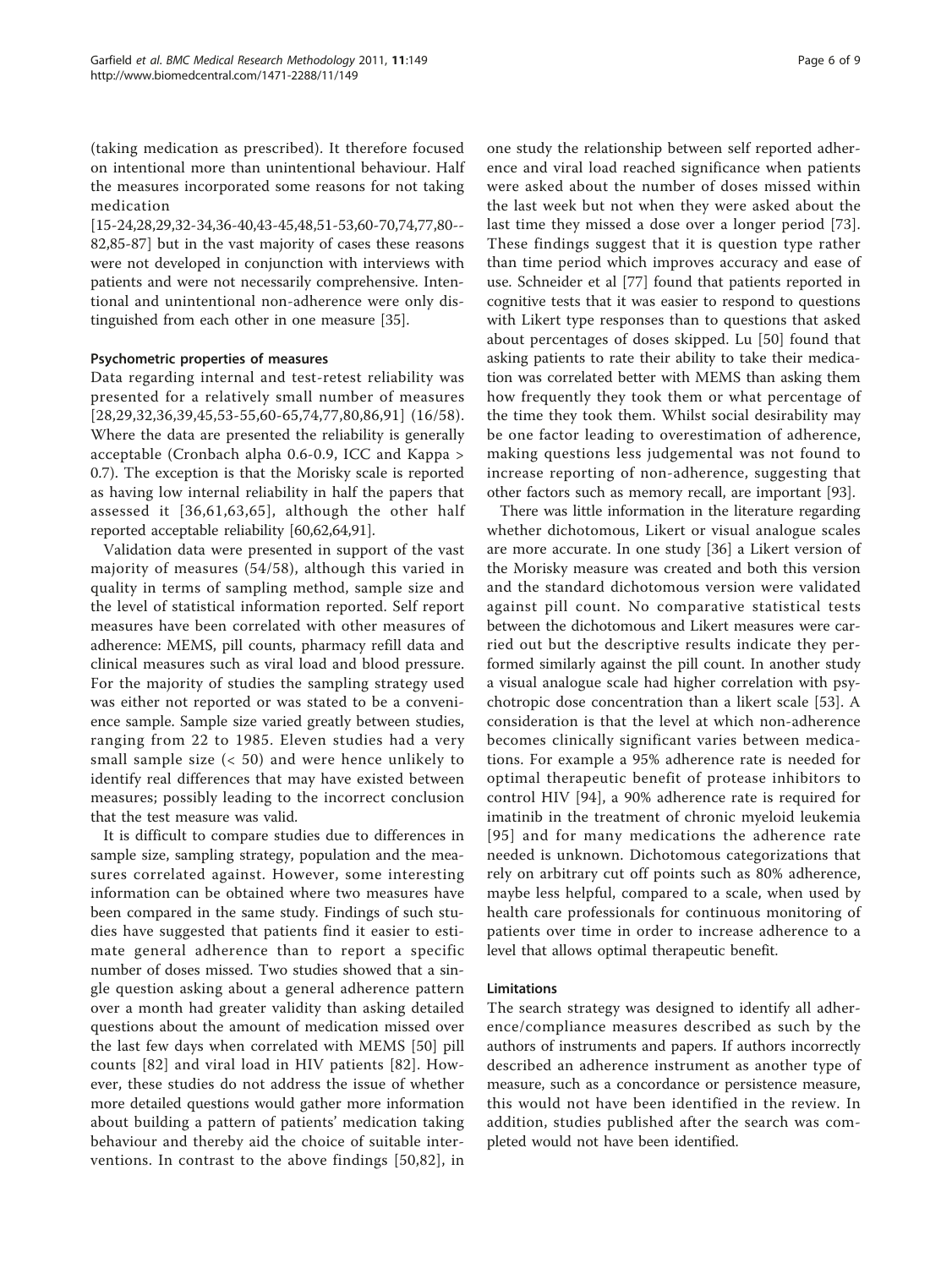(taking medication as prescribed). It therefore focused on intentional more than unintentional behaviour. Half the measures incorporated some reasons for not taking medication

[[15](#page-6-0)[-24,28](#page-7-0),[29](#page-7-0),[32](#page-7-0)-[34,36](#page-7-0)-[40](#page-7-0),[43-45,48,51](#page-7-0)-[53,60-](#page-7-0)[70,74,77,80](#page-8-0)-- [82,85-87\]](#page-8-0) but in the vast majority of cases these reasons were not developed in conjunction with interviews with patients and were not necessarily comprehensive. Intentional and unintentional non-adherence were only distinguished from each other in one measure [\[35\]](#page-7-0).

#### Psychometric properties of measures

Data regarding internal and test-retest reliability was presented for a relatively small number of measures [[28](#page-7-0),[29,32,36](#page-7-0),[39,45,53](#page-7-0)-[55](#page-7-0),[60-](#page-7-0)[65,74,77](#page-8-0),[80,86,91](#page-8-0)] (16/58). Where the data are presented the reliability is generally acceptable (Cronbach alpha 0.6-0.9, ICC and Kappa > 0.7). The exception is that the Morisky scale is reported as having low internal reliability in half the papers that assessed it [[36,61,](#page-7-0)[63](#page-8-0),[65\]](#page-8-0), although the other half reported acceptable reliability [\[60](#page-7-0)[,62,64,91\]](#page-8-0).

Validation data were presented in support of the vast majority of measures (54/58), although this varied in quality in terms of sampling method, sample size and the level of statistical information reported. Self report measures have been correlated with other measures of adherence: MEMS, pill counts, pharmacy refill data and clinical measures such as viral load and blood pressure. For the majority of studies the sampling strategy used was either not reported or was stated to be a convenience sample. Sample size varied greatly between studies, ranging from 22 to 1985. Eleven studies had a very small sample size (< 50) and were hence unlikely to identify real differences that may have existed between measures; possibly leading to the incorrect conclusion that the test measure was valid.

It is difficult to compare studies due to differences in sample size, sampling strategy, population and the measures correlated against. However, some interesting information can be obtained where two measures have been compared in the same study. Findings of such studies have suggested that patients find it easier to estimate general adherence than to report a specific number of doses missed. Two studies showed that a single question asking about a general adherence pattern over a month had greater validity than asking detailed questions about the amount of medication missed over the last few days when correlated with MEMS [\[50\]](#page-7-0) pill counts [[82](#page-8-0)] and viral load in HIV patients [[82](#page-8-0)]. However, these studies do not address the issue of whether more detailed questions would gather more information about building a pattern of patients' medication taking behaviour and thereby aid the choice of suitable interventions. In contrast to the above findings [[50](#page-7-0),[82\]](#page-8-0), in one study the relationship between self reported adherence and viral load reached significance when patients were asked about the number of doses missed within the last week but not when they were asked about the last time they missed a dose over a longer period [[73](#page-8-0)]. These findings suggest that it is question type rather than time period which improves accuracy and ease of use. Schneider et al [[77\]](#page-8-0) found that patients reported in cognitive tests that it was easier to respond to questions with Likert type responses than to questions that asked about percentages of doses skipped. Lu [[50\]](#page-7-0) found that asking patients to rate their ability to take their medication was correlated better with MEMS than asking them how frequently they took them or what percentage of the time they took them. Whilst social desirability may be one factor leading to overestimation of adherence, making questions less judgemental was not found to increase reporting of non-adherence, suggesting that other factors such as memory recall, are important [\[93](#page-8-0)].

There was little information in the literature regarding whether dichotomous, Likert or visual analogue scales are more accurate. In one study [\[36](#page-7-0)] a Likert version of the Morisky measure was created and both this version and the standard dichotomous version were validated against pill count. No comparative statistical tests between the dichotomous and Likert measures were carried out but the descriptive results indicate they performed similarly against the pill count. In another study a visual analogue scale had higher correlation with psychotropic dose concentration than a likert scale [[53\]](#page-7-0). A consideration is that the level at which non-adherence becomes clinically significant varies between medications. For example a 95% adherence rate is needed for optimal therapeutic benefit of protease inhibitors to control HIV [[94\]](#page-8-0), a 90% adherence rate is required for imatinib in the treatment of chronic myeloid leukemia [[95](#page-8-0)] and for many medications the adherence rate needed is unknown. Dichotomous categorizations that rely on arbitrary cut off points such as 80% adherence, maybe less helpful, compared to a scale, when used by health care professionals for continuous monitoring of patients over time in order to increase adherence to a level that allows optimal therapeutic benefit.

#### Limitations

The search strategy was designed to identify all adherence/compliance measures described as such by the authors of instruments and papers. If authors incorrectly described an adherence instrument as another type of measure, such as a concordance or persistence measure, this would not have been identified in the review. In addition, studies published after the search was completed would not have been identified.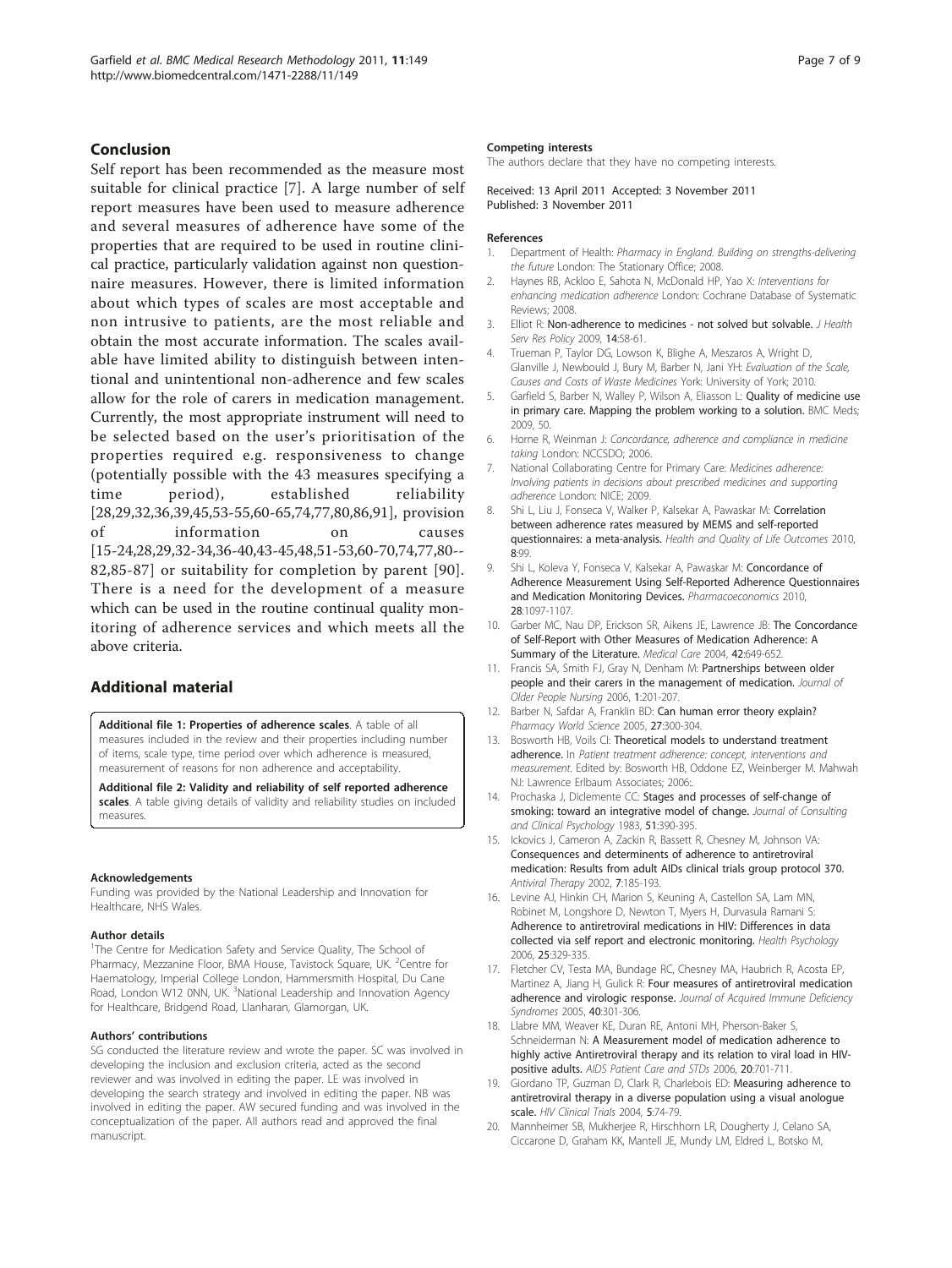#### <span id="page-6-0"></span>Conclusion

Self report has been recommended as the measure most suitable for clinical practice [7]. A large number of self report measures have been used to measure adherence and several measures of adherence have some of the properties that are required to be used in routine clinical practice, particularly validation against non questionnaire measures. However, there is limited information about which types of scales are most acceptable and non intrusive to patients, are the most reliable and obtain the most accurate information. The scales available have limited ability to distinguish between intentional and unintentional non-adherence and few scales allow for the role of carers in medication management. Currently, the most appropriate instrument will need to be selected based on the user's prioritisation of the properties required e.g. responsiveness to change (potentially possible with the 43 measures specifying a time period), established reliability [[28,29,32,36](#page-7-0),[39,45,53-55,60](#page-7-0)[-65](#page-8-0),[74,77,80,86,91](#page-8-0)], provision of information on causes [15[-24,28](#page-7-0),[29](#page-7-0),[32](#page-7-0)-[34,36](#page-7-0)-[40](#page-7-0),[43-45,48,51](#page-7-0)-[53,60-](#page-7-0)[70,74,77,80](#page-8-0)-- [82,85-87\]](#page-8-0) or suitability for completion by parent [[90\]](#page-8-0). There is a need for the development of a measure which can be used in the routine continual quality monitoring of adherence services and which meets all the above criteria.

## Additional material

[Additional file 1: P](https://static-content.springer.com/esm/art%3A10.1186%2F1471-2288-11-149/MediaObjects/12874_2011_659_MOESM1_ESM.RTF)roperties of adherence scales. A table of all measures included in the review and their properties including number of items, scale type, time period over which adherence is measured, measurement of reasons for non adherence and acceptability.

[Additional file 2: V](https://static-content.springer.com/esm/art%3A10.1186%2F1471-2288-11-149/MediaObjects/12874_2011_659_MOESM2_ESM.RTF)alidity and reliability of self reported adherence scales. A table giving details of validity and reliability studies on included measures.

#### Acknowledgements

Funding was provided by the National Leadership and Innovation for Healthcare, NHS Wales.

#### Author details

<sup>1</sup>The Centre for Medication Safety and Service Quality, The School of Pharmacy, Mezzanine Floor, BMA House, Tavistock Square, UK. <sup>2</sup>Centre for Haematology, Imperial College London, Hammersmith Hospital, Du Cane Road, London W12 0NN, UK. <sup>3</sup>National Leadership and Innovation Agency for Healthcare, Bridgend Road, Llanharan, Glamorgan, UK.

#### Authors' contributions

SG conducted the literature review and wrote the paper. SC was involved in developing the inclusion and exclusion criteria, acted as the second reviewer and was involved in editing the paper. LE was involved in developing the search strategy and involved in editing the paper. NB was involved in editing the paper. AW secured funding and was involved in the conceptualization of the paper. All authors read and approved the final manuscript.

#### Competing interests

The authors declare that they have no competing interests.

Received: 13 April 2011 Accepted: 3 November 2011 Published: 3 November 2011

#### References

- 1. Department of Health: Pharmacy in England. Building on strengths-delivering the future London: The Stationary Office; 2008.
- 2. Haynes RB, Ackloo E, Sahota N, McDonald HP, Yao X: Interventions for enhancing medication adherence London: Cochrane Database of Systematic Reviews; 2008.
- 3. Elliot R: [Non-adherence to medicines not solved but solvable.](http://www.ncbi.nlm.nih.gov/pubmed/19103918?dopt=Abstract) J Health Serv Res Policy 2009, 14:58-61.
- 4. Trueman P, Taylor DG, Lowson K, Blighe A, Meszaros A, Wright D, Glanville J, Newbould J, Bury M, Barber N, Jani YH: Evaluation of the Scale, Causes and Costs of Waste Medicines York: University of York; 2010.
- Garfield S, Barber N, Walley P, Wilson A, Eliasson L: Quality of medicine use in primary care. Mapping the problem working to a solution. BMC Meds; 2009, 50.
- 6. Horne R, Weinman J: Concordance, adherence and compliance in medicine taking London: NCCSDO; 2006.
- 7. National Collaborating Centre for Primary Care: Medicines adherence: Involving patients in decisions about prescribed medicines and supporting adherence London: NICE; 2009.
- Shi L, Liu J, Fonseca V, Walker P, Kalsekar A, Pawaskar M: [Correlation](http://www.ncbi.nlm.nih.gov/pubmed/20836888?dopt=Abstract) [between adherence rates measured by MEMS and self-reported](http://www.ncbi.nlm.nih.gov/pubmed/20836888?dopt=Abstract) [questionnaires: a meta-analysis.](http://www.ncbi.nlm.nih.gov/pubmed/20836888?dopt=Abstract) Health and Quality of Life Outcomes 2010, 8:99.
- 9. Shi L, Koleva Y, Fonseca V, Kalsekar A, Pawaskar M: [Concordance of](http://www.ncbi.nlm.nih.gov/pubmed/21080735?dopt=Abstract) [Adherence Measurement Using Self-Reported Adherence Questionnaires](http://www.ncbi.nlm.nih.gov/pubmed/21080735?dopt=Abstract) [and Medication Monitoring Devices.](http://www.ncbi.nlm.nih.gov/pubmed/21080735?dopt=Abstract) Pharmacoeconomics 2010, 28:1097-1107.
- 10. Garber MC, Nau DP, Erickson SR, Aikens JE, Lawrence JB: [The Concordance](http://www.ncbi.nlm.nih.gov/pubmed/15213489?dopt=Abstract) [of Self-Report with Other Measures of Medication Adherence: A](http://www.ncbi.nlm.nih.gov/pubmed/15213489?dopt=Abstract) [Summary of the Literature.](http://www.ncbi.nlm.nih.gov/pubmed/15213489?dopt=Abstract) Medical Care 2004, 42:649-652.
- 11. Francis SA, Smith FJ, Gray N, Denham M: Partnerships between older people and their carers in the management of medication. Journal of Older People Nursing 2006, 1:201-207.
- 12. Barber N, Safdar A, Franklin BD: [Can human error theory explain?](http://www.ncbi.nlm.nih.gov/pubmed/16228628?dopt=Abstract) Pharmacy World Science 2005, 27:300-304.
- 13. Bosworth HB, Voils CI: Theoretical models to understand treatment adherence. In Patient treatment adherence: concept, interventions and measurement. Edited by: Bosworth HB, Oddone EZ, Weinberger M. Mahwah NJ: Lawrence Erlbaum Associates; 2006:.
- 14. Prochaska J, Diclemente CC: [Stages and processes of self-change of](http://www.ncbi.nlm.nih.gov/pubmed/6863699?dopt=Abstract) [smoking: toward an integrative model of change.](http://www.ncbi.nlm.nih.gov/pubmed/6863699?dopt=Abstract) Journal of Consulting and Clinical Psychology 1983, 51:390-395.
- 15. Ickovics J, Cameron A, Zackin R, Bassett R, Chesney M, Johnson VA: [Consequences and determinents of adherence to antiretroviral](http://www.ncbi.nlm.nih.gov/pubmed/12487386?dopt=Abstract) [medication: Results from adult AIDs clinical trials group protocol 370.](http://www.ncbi.nlm.nih.gov/pubmed/12487386?dopt=Abstract) Antiviral Therapy 2002, 7:185-193.
- 16. Levine AJ, Hinkin CH, Marion S, Keuning A, Castellon SA, Lam MN, Robinet M, Longshore D, Newton T, Myers H, Durvasula Ramani S: [Adherence to antiretroviral medications in HIV: Differences in data](http://www.ncbi.nlm.nih.gov/pubmed/16719604?dopt=Abstract) [collected via self report and electronic monitoring.](http://www.ncbi.nlm.nih.gov/pubmed/16719604?dopt=Abstract) Health Psychology 2006, 25:329-335.
- 17. Fletcher CV, Testa MA, Bundage RC, Chesney MA, Haubrich R, Acosta EP, Martinez A, Jiang H, Gulick R: [Four measures of antiretroviral medication](http://www.ncbi.nlm.nih.gov/pubmed/16249704?dopt=Abstract) adherence [and virologic response.](http://www.ncbi.nlm.nih.gov/pubmed/16249704?dopt=Abstract) Journal of Acquired Immune Deficiency Syndromes 2005, 40:301-306.
- 18. Llabre MM, Weaver KE, Duran RE, Antoni MH, Pherson-Baker S, Schneiderman N: [A Measurement model of medication adherence to](http://www.ncbi.nlm.nih.gov/pubmed/17052140?dopt=Abstract) [highly active Antiretroviral therapy and its relation to viral load in HIV](http://www.ncbi.nlm.nih.gov/pubmed/17052140?dopt=Abstract)[positive adults.](http://www.ncbi.nlm.nih.gov/pubmed/17052140?dopt=Abstract) AIDS Patient Care and STDs 2006, 20:701-711.
- 19. Giordano TP, Guzman D, Clark R, Charlebois ED: [Measuring adherence to](http://www.ncbi.nlm.nih.gov/pubmed/15116282?dopt=Abstract) [antiretroviral therapy in a diverse population using a visual anologue](http://www.ncbi.nlm.nih.gov/pubmed/15116282?dopt=Abstract) [scale.](http://www.ncbi.nlm.nih.gov/pubmed/15116282?dopt=Abstract) HIV Clinical Trials 2004, 5:74-79.
- 20. Mannheimer SB, Mukherjee R, Hirschhorn LR, Dougherty J, Celano SA, Ciccarone D, Graham KK, Mantell JE, Mundy LM, Eldred L, Botsko M,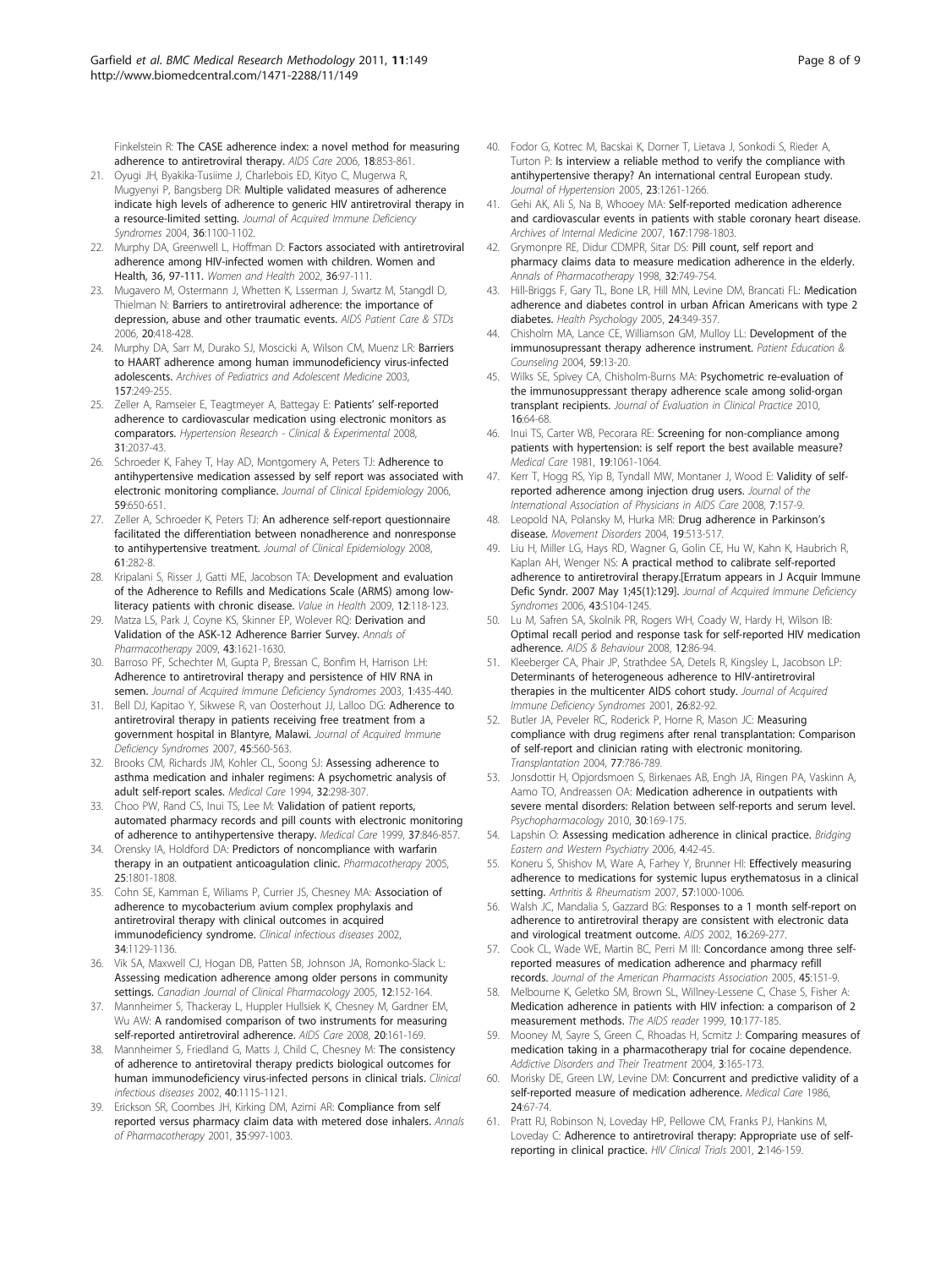<span id="page-7-0"></span>Finkelstein R: [The CASE adherence index: a novel method for measuring](http://www.ncbi.nlm.nih.gov/pubmed/16971298?dopt=Abstract) [adherence to antiretroviral therapy.](http://www.ncbi.nlm.nih.gov/pubmed/16971298?dopt=Abstract) AIDS Care 2006, 18:853-861.

- 21. Oyugi JH, Byakika-Tusiime J, Charlebois ED, Kityo C, Mugerwa R, Mugyenyi P, Bangsberg DR: [Multiple validated measures of adherence](http://www.ncbi.nlm.nih.gov/pubmed/15247564?dopt=Abstract) [indicate high levels of adherence to generic HIV antiretroviral therapy in](http://www.ncbi.nlm.nih.gov/pubmed/15247564?dopt=Abstract) [a resource-limited setting.](http://www.ncbi.nlm.nih.gov/pubmed/15247564?dopt=Abstract) Journal of Acquired Immune Deficiency Syndromes 2004, 36:1100-1102.
- 22. Murphy DA, Greenwell L, Hoffman D: Factors associated with antiretroviral adherence among HIV-infected women with children. Women and Health, 36, 97-111. Women and Health 2002, 36:97-111.
- 23. Mugavero M, Ostermann J, Whetten K, Lsserman J, Swartz M, Stangdl D, Thielman N: [Barriers to antiretroviral adherence: the importance of](http://www.ncbi.nlm.nih.gov/pubmed/21809287?dopt=Abstract) [depression, abuse and other traumatic events.](http://www.ncbi.nlm.nih.gov/pubmed/21809287?dopt=Abstract) AIDS Patient Care & STDs 2006, 20:418-428.
- 24. Murphy DA, Sarr M, Durako SJ, Moscicki A, Wilson CM, Muenz LR: [Barriers](http://www.ncbi.nlm.nih.gov/pubmed/12622674?dopt=Abstract) [to HAART adherence among human immunodeficiency virus-infected](http://www.ncbi.nlm.nih.gov/pubmed/12622674?dopt=Abstract) [adolescents.](http://www.ncbi.nlm.nih.gov/pubmed/12622674?dopt=Abstract) Archives of Pediatrics and Adolescent Medicine 2003, 157:249-255.
- 25. Zeller A, Ramseier E, Teagtmeyer A, Battegay E: Patients' [self-reported](http://www.ncbi.nlm.nih.gov/pubmed/22051429?dopt=Abstract) [adherence to cardiovascular medication using electronic monitors as](http://www.ncbi.nlm.nih.gov/pubmed/22051429?dopt=Abstract) [comparators.](http://www.ncbi.nlm.nih.gov/pubmed/22051429?dopt=Abstract) Hypertension Research - Clinical & Experimental 2008, 31:2037-43.
- 26. Schroeder K, Fahey T, Hay AD, Montgomery A, Peters TJ: [Adherence to](http://www.ncbi.nlm.nih.gov/pubmed/16713529?dopt=Abstract) [antihypertensive medication assessed by self report was associated with](http://www.ncbi.nlm.nih.gov/pubmed/16713529?dopt=Abstract) [electronic monitoring compliance.](http://www.ncbi.nlm.nih.gov/pubmed/16713529?dopt=Abstract) Journal of Clinical Epidemiology 2006, 59:650-651.
- 27. Zeller A, Schroeder K, Peters TJ: [An adherence self-report questionnaire](http://www.ncbi.nlm.nih.gov/pubmed/18226752?dopt=Abstract) [facilitated the differentiation between nonadherence and nonresponse](http://www.ncbi.nlm.nih.gov/pubmed/18226752?dopt=Abstract) [to antihypertensive treatment.](http://www.ncbi.nlm.nih.gov/pubmed/18226752?dopt=Abstract) Journal of Clinical Epidemiology 2008, 61:282-8.
- 28. Kripalani S, Risser J, Gatti ME, Jacobson TA: [Development and evaluation](http://www.ncbi.nlm.nih.gov/pubmed/19911444?dopt=Abstract) [of the Adherence to Refills and Medications Scale \(ARMS\) among low](http://www.ncbi.nlm.nih.gov/pubmed/19911444?dopt=Abstract)[literacy patients with chronic disease.](http://www.ncbi.nlm.nih.gov/pubmed/19911444?dopt=Abstract) Value in Health 2009, 12:118-123.
- 29. Matza LS, Park J, Coyne KS, Skinner EP, Wolever RQ: [Derivation and](http://www.ncbi.nlm.nih.gov/pubmed/19776298?dopt=Abstract) [Validation of the ASK-12 Adherence Barrier Survey.](http://www.ncbi.nlm.nih.gov/pubmed/19776298?dopt=Abstract) Annals of Pharmacotherapy 2009, 43:1621-1630.
- 30. Barroso PF, Schechter M, Gupta P, Bressan C, Bonfim H, Harrison LH: Adherence to antiretroviral therapy and persistence of HIV RNA in semen. Journal of Acquired Immune Deficiency Syndromes 2003, 1:435-440.
- 31. Bell DJ, Kapitao Y, Sikwese R, van Oosterhout JJ, Lalloo DG: [Adherence to](http://www.ncbi.nlm.nih.gov/pubmed/17558333?dopt=Abstract) [antiretroviral therapy in patients receiving free treatment from a](http://www.ncbi.nlm.nih.gov/pubmed/17558333?dopt=Abstract) [government hospital in Blantyre, Malawi.](http://www.ncbi.nlm.nih.gov/pubmed/17558333?dopt=Abstract) Journal of Acquired Immune Deficiency Syndromes 2007, 45:560-563.
- 32. Brooks CM, Richards JM, Kohler CL, Soong SJ: [Assessing adherence to](http://www.ncbi.nlm.nih.gov/pubmed/8145604?dopt=Abstract) [asthma medication and inhaler regimens: A psychometric analysis of](http://www.ncbi.nlm.nih.gov/pubmed/8145604?dopt=Abstract) [adult self-report scales.](http://www.ncbi.nlm.nih.gov/pubmed/8145604?dopt=Abstract) Medical Care 1994, 32:298-307.
- 33. Choo PW, Rand CS, Inui TS, Lee M: [Validation of patient reports,](http://www.ncbi.nlm.nih.gov/pubmed/10493464?dopt=Abstract) automated [pharmacy records and pill counts with electronic monitoring](http://www.ncbi.nlm.nih.gov/pubmed/10493464?dopt=Abstract) [of adherence to antihypertensive therapy.](http://www.ncbi.nlm.nih.gov/pubmed/10493464?dopt=Abstract) Medical Care 1999, 37:846-857.
- 34. Orensky IA, Holdford DA: [Predictors of noncompliance with warfarin](http://www.ncbi.nlm.nih.gov/pubmed/16305299?dopt=Abstract) [therapy in an outpatient anticoagulation clinic.](http://www.ncbi.nlm.nih.gov/pubmed/16305299?dopt=Abstract) Pharmacotherapy 2005, 25:1801-1808.
- 35. Cohn SE, Kamman E, Wiliams P, Currier JS, Chesney MA: [Association of](http://www.ncbi.nlm.nih.gov/pubmed/11915003?dopt=Abstract) [adherence to mycobacterium avium complex prophylaxis and](http://www.ncbi.nlm.nih.gov/pubmed/11915003?dopt=Abstract) [antiretroviral therapy with clinical outcomes in acquired](http://www.ncbi.nlm.nih.gov/pubmed/11915003?dopt=Abstract) [immunodeficiency syndrome.](http://www.ncbi.nlm.nih.gov/pubmed/11915003?dopt=Abstract) Clinical infectious diseases 2002, 34:1129-1136.
- 36. Vik SA, Maxwell CJ, Hogan DB, Patten SB, Johnson JA, Romonko-Slack L: Assessing medication adherence among older persons in community settings. Canadian Journal of Clinical Pharmacology 2005, 12:152-164.
- 37. Mannheimer S, Thackeray L, Huppler Hullsiek K, Chesney M, Gardner EM, Wu AW: [A randomised comparison of two instruments for measuring](http://www.ncbi.nlm.nih.gov/pubmed/18293124?dopt=Abstract) [self-reported antiretroviral adherence.](http://www.ncbi.nlm.nih.gov/pubmed/18293124?dopt=Abstract) AIDS Care 2008, 20:161-169.
- 38. Mannheimer S, Friedland G, Matts J, Child C, Chesney M: The consistency of adherence to antiretoviral therapy predicts biological outcomes for human immunodeficiency virus-infected persons in clinical trials. Clinical infectious diseases 2002, 40:1115-1121.
- 39. Erickson SR, Coombes JH, Kirking DM, Azimi AR: [Compliance from self](http://www.ncbi.nlm.nih.gov/pubmed/11573875?dopt=Abstract) [reported versus pharmacy claim data with metered dose inhalers.](http://www.ncbi.nlm.nih.gov/pubmed/11573875?dopt=Abstract) Annals of Pharmacotherapy 2001, 35:997-1003.
- 40. Fodor G, Kotrec M, Bacskai K, Dorner T, Lietava J, Sonkodi S, Rieder A, Turton P: [Is interview a reliable method to verify the compliance with](http://www.ncbi.nlm.nih.gov/pubmed/15894903?dopt=Abstract) [antihypertensive therapy? An international central European study.](http://www.ncbi.nlm.nih.gov/pubmed/15894903?dopt=Abstract) Journal of Hypertension 2005, 23:1261-1266.
- 41. Gehi AK, Ali S, Na B, Whooey MA: [Self-reported medication adherence](http://www.ncbi.nlm.nih.gov/pubmed/17846400?dopt=Abstract) [and cardiovascular events in patients with stable coronary heart disease.](http://www.ncbi.nlm.nih.gov/pubmed/17846400?dopt=Abstract) Archives of Internal Medicine 2007, 167:1798-1803.
- 42. Grymonpre RE, Didur CDMPR, Sitar DS: [Pill count, self report and](http://www.ncbi.nlm.nih.gov/pubmed/9681089?dopt=Abstract) [pharmacy claims data to measure medication adherence in the elderly.](http://www.ncbi.nlm.nih.gov/pubmed/9681089?dopt=Abstract) Annals of Pharmacotherapy 1998, 32:749-754.
- 43. Hill-Briggs F, Gary TL, Bone LR, Hill MN, Levine DM, Brancati FL: [Medication](http://www.ncbi.nlm.nih.gov/pubmed/16045370?dopt=Abstract) [adherence and diabetes control in urban African Americans with type 2](http://www.ncbi.nlm.nih.gov/pubmed/16045370?dopt=Abstract) [diabetes.](http://www.ncbi.nlm.nih.gov/pubmed/16045370?dopt=Abstract) Health Psychology 2005, 24:349-357.
- 44. Chisholm MA, Lance CE, Williamson GM, Mulloy LL: [Development of the](http://www.ncbi.nlm.nih.gov/pubmed/22051845?dopt=Abstract) [immunosupressant therapy adherence instrument.](http://www.ncbi.nlm.nih.gov/pubmed/22051845?dopt=Abstract) Patient Education & Counseling 2004, 59:13-20.
- 45. Wilks SE, Spivey CA, Chisholm-Burns MA: [Psychometric re-evaluation of](http://www.ncbi.nlm.nih.gov/pubmed/20367816?dopt=Abstract) [the immunosuppressant therapy adherence scale among solid-organ](http://www.ncbi.nlm.nih.gov/pubmed/20367816?dopt=Abstract) [transplant recipients.](http://www.ncbi.nlm.nih.gov/pubmed/20367816?dopt=Abstract) Journal of Evaluation in Clinical Practice 2010, 16:64-68.
- 46. Inui TS, Carter WB, Pecorara RE: [Screening for non-compliance among](http://www.ncbi.nlm.nih.gov/pubmed/7311638?dopt=Abstract) [patients with hypertension: is self report the best available measure?](http://www.ncbi.nlm.nih.gov/pubmed/7311638?dopt=Abstract) Medical Care 1981, 19:1061-1064.
- 47. Kerr T, Hogg RS, Yip B, Tyndall MW, Montaner J, Wood E: [Validity of self](http://www.ncbi.nlm.nih.gov/pubmed/18626123?dopt=Abstract)reported [adherence among injection drug users.](http://www.ncbi.nlm.nih.gov/pubmed/18626123?dopt=Abstract) Journal of the International Association of Physicians in AIDS Care 2008, 7:157-9.
- Leopold NA, Polansky M, Hurka MR: [Drug adherence in Parkinson](http://www.ncbi.nlm.nih.gov/pubmed/15133814?dopt=Abstract)'s [disease.](http://www.ncbi.nlm.nih.gov/pubmed/15133814?dopt=Abstract) Movement Disorders 2004, 19:513-517.
- Liu H, Miller LG, Hays RD, Wagner G, Golin CE, Hu W, Kahn K, Haubrich R, Kaplan AH, Wenger NS: [A practical method to calibrate self-reported](http://www.ncbi.nlm.nih.gov/pubmed/17133192?dopt=Abstract) [adherence to antiretroviral therapy.\[Erratum appears in J Acquir Immune](http://www.ncbi.nlm.nih.gov/pubmed/17133192?dopt=Abstract) [Defic Syndr. 2007 May 1;45\(1\):129\].](http://www.ncbi.nlm.nih.gov/pubmed/17133192?dopt=Abstract) Journal of Acquired Immune Deficiency Syndromes 2006, 43:S104-1245.
- 50. Lu M, Safren SA, Skolnik PR, Rogers WH, Coady W, Hardy H, Wilson IB: [Optimal recall period and response task for self-reported HIV medication](http://www.ncbi.nlm.nih.gov/pubmed/22052403?dopt=Abstract) [adherence.](http://www.ncbi.nlm.nih.gov/pubmed/22052403?dopt=Abstract) AIDS & Behaviour 2008, 12:86-94.
- 51. Kleeberger CA, Phair JP, Strathdee SA, Detels R, Kingsley L, Jacobson LP: [Determinants of heterogeneous adherence to HIV-antiretroviral](http://www.ncbi.nlm.nih.gov/pubmed/11176272?dopt=Abstract) [therapies in the multicenter AIDS cohort study.](http://www.ncbi.nlm.nih.gov/pubmed/11176272?dopt=Abstract) Journal of Acquired Immune Deficiency Syndromes 2001, 26:82-92.
- 52. Butler JA, Peveler RC, Roderick P, Horne R, Mason JC: [Measuring](http://www.ncbi.nlm.nih.gov/pubmed/15021850?dopt=Abstract) [compliance with drug regimens after renal transplantation: Comparison](http://www.ncbi.nlm.nih.gov/pubmed/15021850?dopt=Abstract) [of self-report and clinician rating with electronic monitoring.](http://www.ncbi.nlm.nih.gov/pubmed/15021850?dopt=Abstract) Transplantation 2004, 77:786-789.
- 53. Jonsdottir H, Opjordsmoen S, Birkenaes AB, Engh JA, Ringen PA, Vaskinn A, Aamo TO, Andreassen OA: Medication adherence in outpatients with severe mental disorders: Relation between self-reports and serum level. Psychopharmacology 2010, 30:169-175.
- Lapshin O: Assessing medication adherence in clinical practice. Bridging Eastern and Western Psychiatry 2006, 4:42-45.
- 55. Koneru S, Shishov M, Ware A, Farhey Y, Brunner HI: [Effectively measuring](http://www.ncbi.nlm.nih.gov/pubmed/22053211?dopt=Abstract) [adherence to medications for systemic lupus erythematosus in a clinical](http://www.ncbi.nlm.nih.gov/pubmed/22053211?dopt=Abstract) [setting.](http://www.ncbi.nlm.nih.gov/pubmed/22053211?dopt=Abstract) Arthritis & Rheumatism 2007, 57:1000-1006.
- 56. Walsh JC, Mandalia S, Gazzard BG: [Responses to a 1 month self-report on](http://www.ncbi.nlm.nih.gov/pubmed/11807312?dopt=Abstract) [adherence to antiretroviral therapy are consistent with electronic data](http://www.ncbi.nlm.nih.gov/pubmed/11807312?dopt=Abstract) [and virological treatment outcome.](http://www.ncbi.nlm.nih.gov/pubmed/11807312?dopt=Abstract) AIDS 2002, 16:269-277.
- 57. Cook CL, Wade WE, Martin BC, Perri M III: [Concordance among three self](http://www.ncbi.nlm.nih.gov/pubmed/15868757?dopt=Abstract)[reported measures of medication adherence and pharmacy refill](http://www.ncbi.nlm.nih.gov/pubmed/15868757?dopt=Abstract) [records.](http://www.ncbi.nlm.nih.gov/pubmed/15868757?dopt=Abstract) Journal of the American Pharmacists Association 2005, 45:151-9.
- 58. Melbourne K, Geletko SM, Brown SL, Willney-Lessene C, Chase S, Fisher A: Medication adherence in patients with HIV infection: a comparison of 2 measurement methods. The AIDS reader 1999, 10:177-185.
- 59. Mooney M, Sayre S, Green C, Rhoadas H, Scmitz J: Comparing measures of medication taking in a pharmacotherapy trial for cocaine dependence. Addictive Disorders and Their Treatment 2004, 3:165-173.
- 60. Morisky DE, Green LW, Levine DM: [Concurrent and predictive validity of a](http://www.ncbi.nlm.nih.gov/pubmed/3945130?dopt=Abstract) [self-reported measure of medication adherence.](http://www.ncbi.nlm.nih.gov/pubmed/3945130?dopt=Abstract) Medical Care 1986, 24:67-74.
- 61. Pratt RJ, Robinson N, Loveday HP, Pellowe CM, Franks PJ, Hankins M, Loveday C: [Adherence to antiretroviral therapy: Appropriate use of self](http://www.ncbi.nlm.nih.gov/pubmed/11590523?dopt=Abstract)[reporting in clinical practice.](http://www.ncbi.nlm.nih.gov/pubmed/11590523?dopt=Abstract) HIV Clinical Trials 2001, 2:146-159.